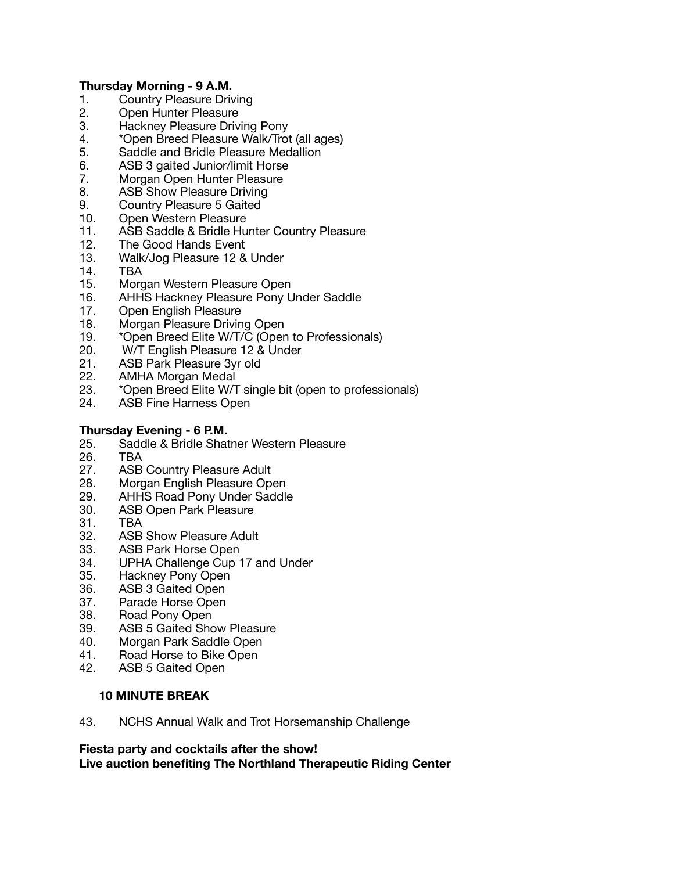## **Thursday Morning - 9 A.M.**

- 1. Country Pleasure Driving
- 2. Open Hunter Pleasure
- 3. Hackney Pleasure Driving Pony
- 4. \*Open Breed Pleasure Walk/Trot (all ages)
- 5. Saddle and Bridle Pleasure Medallion
- 6. ASB 3 gaited Junior/limit Horse
- 7. Morgan Open Hunter Pleasure
- 8. ASB Show Pleasure Driving
- 9. Country Pleasure 5 Gaited
- 10. Open Western Pleasure
- 11. ASB Saddle & Bridle Hunter Country Pleasure
- 12. The Good Hands Event
- 13. Walk/Jog Pleasure 12 & Under
- 
- 14. TBA<br>15. Mord Morgan Western Pleasure Open
- 16. AHHS Hackney Pleasure Pony Under Saddle
- 17. Open English Pleasure
- 18. Morgan Pleasure Driving Open
- 19. \*Open Breed Elite W/T/C (Open to Professionals)
- 20. W/T English Pleasure 12 & Under
- 21. ASB Park Pleasure 3yr old
- 22. AMHA Morgan Medal
- 23. \*Open Breed Elite W/T single bit (open to professionals)
- 24. ASB Fine Harness Open

# **Thursday Evening - 6 P.M.**

- 25. Saddle & Bridle Shatner Western Pleasure
- 26. TBA
- 27. ASB Country Pleasure Adult<br>28. Morgan English Pleasure Ope
- Morgan English Pleasure Open
- 29. AHHS Road Pony Under Saddle
- 30. ASB Open Park Pleasure
- 31. TBA
- 32. ASB Show Pleasure Adult
- 33. ASB Park Horse Open
- 34. UPHA Challenge Cup 17 and Under
- 35. Hackney Pony Open
- 36. ASB 3 Gaited Open
- 37. Parade Horse Open
- 38. Road Pony Open
- 39. ASB 5 Gaited Show Pleasure
- 40. Morgan Park Saddle Open
- 41. Road Horse to Bike Open
- 42. ASB 5 Gaited Open

### **10 MINUTE BREAK**

43. NCHS Annual Walk and Trot Horsemanship Challenge

#### **Fiesta party and cocktails after the show! Live auction benefiting The Northland Therapeutic Riding Center**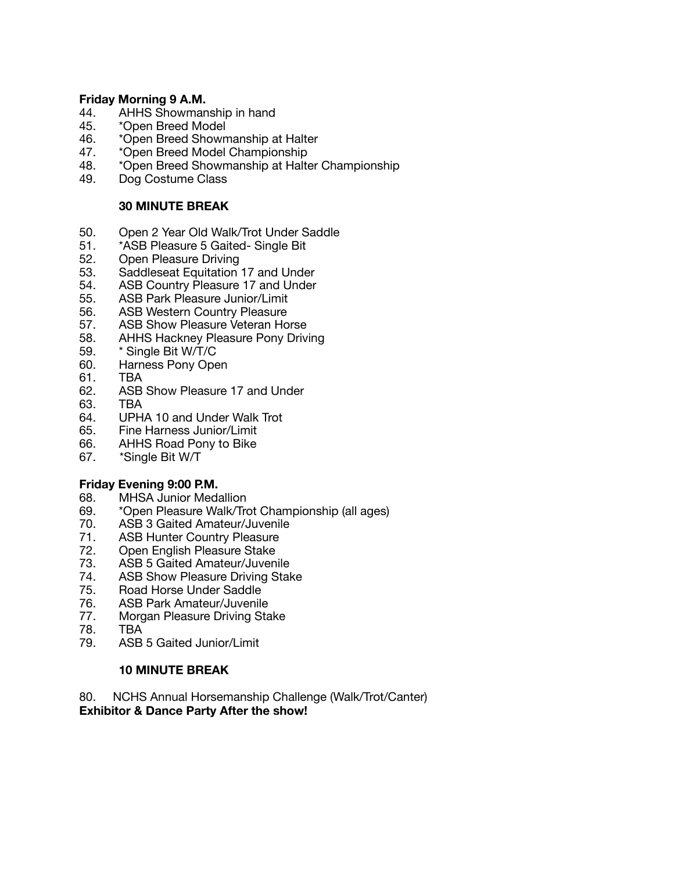#### **Friday Morning 9 A.M.**

- 44. AHHS Showmanship in hand
- 45. \*Open Breed Model
- 46. \*Open Breed Showmanship at Halter
- 47. \*Open Breed Model Championship
- 48. \*Open Breed Showmanship at Halter Championship
- 49. Dog Costume Class

## **30 MINUTE BREAK**

- 50. Open 2 Year Old Walk/Trot Under Saddle
- 51. \*ASB Pleasure 5 Gaited- Single Bit
- 52. Open Pleasure Driving<br>53. Saddleseat Equitation
- Saddleseat Equitation 17 and Under
- 54. ASB Country Pleasure 17 and Under
- 55. ASB Park Pleasure Junior/Limit
- 56. ASB Western Country Pleasure
- 57. ASB Show Pleasure Veteran Horse
- 58. AHHS Hackney Pleasure Pony Driving
- 59. \* Single Bit W/T/C
- 60. Harness Pony Open
- 61. TBA
- 62. ASB Show Pleasure 17 and Under
- 63. TBA
- 64. UPHA 10 and Under Walk Trot
- 65. Fine Harness Junior/Limit
- 66. AHHS Road Pony to Bike
- 67. \*Single Bit W/T

### **Friday Evening 9:00 P.M.**

- 68. MHSA Junior Medallion
- 69. \*Open Pleasure Walk/Trot Championship (all ages)
- 70. ASB 3 Gaited Amateur/Juvenile
- 71. ASB Hunter Country Pleasure<br>72. Open English Pleasure Stake
- 72. Open English Pleasure Stake<br>73. ASB 5 Gaited Amateur/Juven
- 73. ASB 5 Gaited Amateur/Juvenile<br>74. ASB Show Pleasure Driving Stal
- ASB Show Pleasure Driving Stake
- 75. Road Horse Under Saddle<br>76. ASB Park Amateur/Juvenik
- 76. ASB Park Amateur/Juvenile<br>77. Morgan Pleasure Driving Sta
- 77. Morgan Pleasure Driving Stake<br>78. TBA
- 78. TBA
- ASB 5 Gaited Junior/Limit

### **10 MINUTE BREAK**

80. NCHS Annual Horsemanship Challenge (Walk/Trot/Canter)

### **Exhibitor & Dance Party After the show!**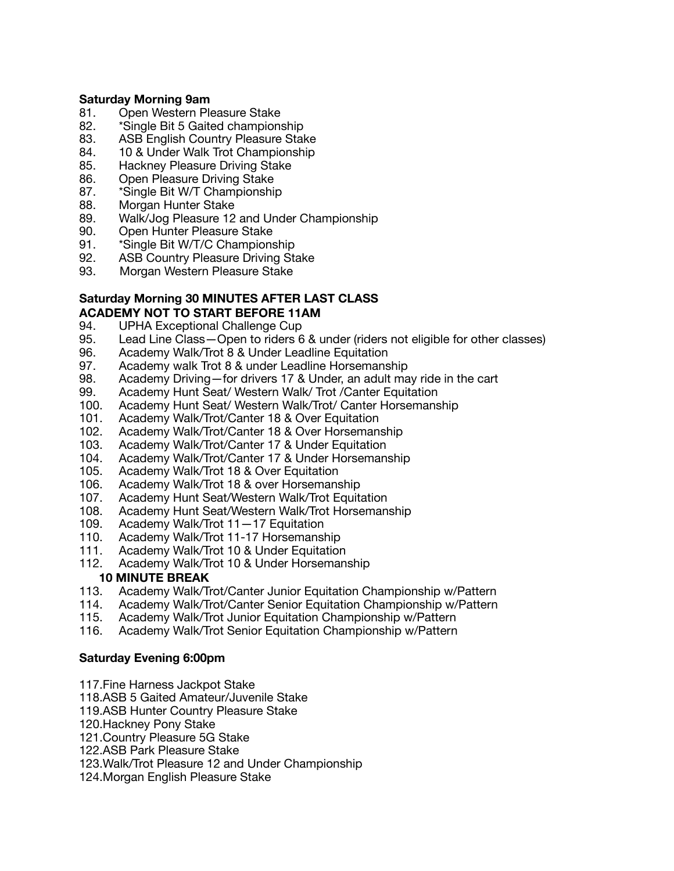#### **Saturday Morning 9am**

- 81. Open Western Pleasure Stake
- 82. \*Single Bit 5 Gaited championship
- 83. ASB English Country Pleasure Stake
- 84. 10 & Under Walk Trot Championship
- 85. Hackney Pleasure Driving Stake
- 86. Open Pleasure Driving Stake
- 87. \*Single Bit W/T Championship
- 88. Morgan Hunter Stake
- 89. Walk/Jog Pleasure 12 and Under Championship
- 90. Open Hunter Pleasure Stake
- 91. \*Single Bit W/T/C Championship
- 92. ASB Country Pleasure Driving Stake
- 93. Morgan Western Pleasure Stake

### **Saturday Morning 30 MINUTES AFTER LAST CLASS ACADEMY NOT TO START BEFORE 11AM**

- 94. UPHA Exceptional Challenge Cup<br>95. Lead Line Class Open to riders 6
- Lead Line Class—Open to riders 6 & under (riders not eligible for other classes)
- 96. Academy Walk/Trot 8 & Under Leadline Equitation<br>97. Academy walk Trot 8 & under Leadline Horsemans
- Academy walk Trot 8 & under Leadline Horsemanship
- 98. Academy Driving—for drivers 17 & Under, an adult may ride in the cart
- 99. Academy Hunt Seat/ Western Walk/ Trot /Canter Equitation<br>100. Academy Hunt Seat/ Western Walk/Trot/ Canter Horsemans
- Academy Hunt Seat/ Western Walk/Trot/ Canter Horsemanship
- 101. Academy Walk/Trot/Canter 18 & Over Equitation<br>102. Academy Walk/Trot/Canter 18 & Over Horseman
- Academy Walk/Trot/Canter 18 & Over Horsemanship
- 103. Academy Walk/Trot/Canter 17 & Under Equitation
- 104. Academy Walk/Trot/Canter 17 & Under Horsemanship<br>105. Academy Walk/Trot 18 & Over Equitation
- 105. Academy Walk/Trot 18 & Over Equitation<br>106. Academy Walk/Trot 18 & over Horsemans
- 106. Academy Walk/Trot 18 & over Horsemanship<br>107. Academy Hunt Seat/Western Walk/Trot Equita
- 107. Academy Hunt Seat/Western Walk/Trot Equitation<br>108. Academy Hunt Seat/Western Walk/Trot Horsemans
- Academy Hunt Seat/Western Walk/Trot Horsemanship
- 109. Academy Walk/Trot 11—17 Equitation
- 110. Academy Walk/Trot 11-17 Horsemanship<br>111. Academy Walk/Trot 10 & Under Equitation
- Academy Walk/Trot 10 & Under Equitation
- 112. Academy Walk/Trot 10 & Under Horsemanship

### **10 MINUTE BREAK**

- 113. Academy Walk/Trot/Canter Junior Equitation Championship w/Pattern
- 114. Academy Walk/Trot/Canter Senior Equitation Championship w/Pattern
- 115. Academy Walk/Trot Junior Equitation Championship w/Pattern
- 116. Academy Walk/Trot Senior Equitation Championship w/Pattern

### **Saturday Evening 6:00pm**

- 117.Fine Harness Jackpot Stake
- 118.ASB 5 Gaited Amateur/Juvenile Stake
- 119.ASB Hunter Country Pleasure Stake
- 120.Hackney Pony Stake
- 121.Country Pleasure 5G Stake
- 122.ASB Park Pleasure Stake
- 123.Walk/Trot Pleasure 12 and Under Championship
- 124.Morgan English Pleasure Stake